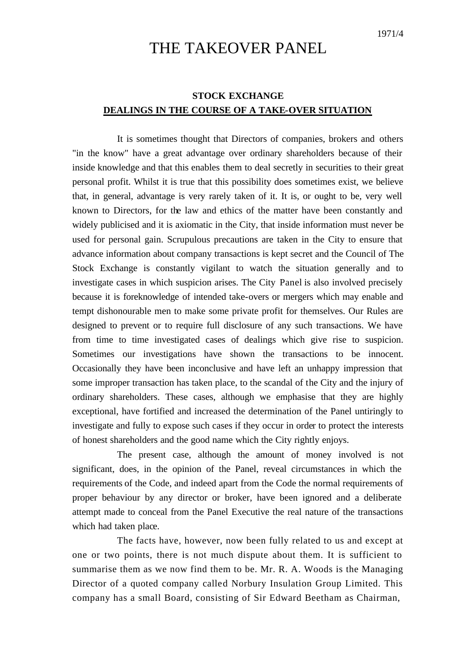## THE TAKEOVER PANEL

## **STOCK EXCHANGE DEALINGS IN THE COURSE OF A TAKE-OVER SITUATION**

It is sometimes thought that Directors of companies, brokers and others "in the know" have a great advantage over ordinary shareholders because of their inside knowledge and that this enables them to deal secretly in securities to their great personal profit. Whilst it is true that this possibility does sometimes exist, we believe that, in general, advantage is very rarely taken of it. It is, or ought to be, very well known to Directors, for the law and ethics of the matter have been constantly and widely publicised and it is axiomatic in the City, that inside information must never be used for personal gain. Scrupulous precautions are taken in the City to ensure that advance information about company transactions is kept secret and the Council of The Stock Exchange is constantly vigilant to watch the situation generally and to investigate cases in which suspicion arises. The City Panel is also involved precisely because it is foreknowledge of intended take-overs or mergers which may enable and tempt dishonourable men to make some private profit for themselves. Our Rules are designed to prevent or to require full disclosure of any such transactions. We have from time to time investigated cases of dealings which give rise to suspicion. Sometimes our investigations have shown the transactions to be innocent. Occasionally they have been inconclusive and have left an unhappy impression that some improper transaction has taken place, to the scandal of the City and the injury of ordinary shareholders. These cases, although we emphasise that they are highly exceptional, have fortified and increased the determination of the Panel untiringly to investigate and fully to expose such cases if they occur in order to protect the interests of honest shareholders and the good name which the City rightly enjoys.

The present case, although the amount of money involved is not significant, does, in the opinion of the Panel, reveal circumstances in which the requirements of the Code, and indeed apart from the Code the normal requirements of proper behaviour by any director or broker, have been ignored and a deliberate attempt made to conceal from the Panel Executive the real nature of the transactions which had taken place.

The facts have, however, now been fully related to us and except at one or two points, there is not much dispute about them. It is sufficient to summarise them as we now find them to be. Mr. R. A. Woods is the Managing Director of a quoted company called Norbury Insulation Group Limited. This company has a small Board, consisting of Sir Edward Beetham as Chairman,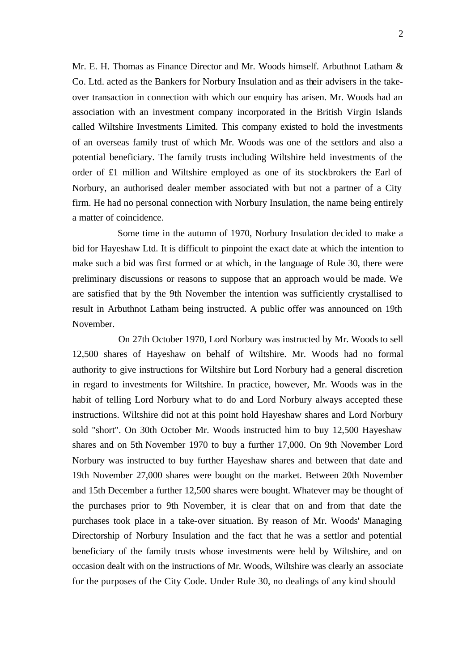Mr. E. H. Thomas as Finance Director and Mr. Woods himself. Arbuthnot Latham & Co. Ltd. acted as the Bankers for Norbury Insulation and as their advisers in the takeover transaction in connection with which our enquiry has arisen. Mr. Woods had an association with an investment company incorporated in the British Virgin Islands called Wiltshire Investments Limited. This company existed to hold the investments of an overseas family trust of which Mr. Woods was one of the settlors and also a potential beneficiary. The family trusts including Wiltshire held investments of the order of £1 million and Wiltshire employed as one of its stockbrokers the Earl of Norbury, an authorised dealer member associated with but not a partner of a City firm. He had no personal connection with Norbury Insulation, the name being entirely a matter of coincidence.

Some time in the autumn of 1970, Norbury Insulation decided to make a bid for Hayeshaw Ltd. It is difficult to pinpoint the exact date at which the intention to make such a bid was first formed or at which, in the language of Rule 30, there were preliminary discussions or reasons to suppose that an approach would be made. We are satisfied that by the 9th November the intention was sufficiently crystallised to result in Arbuthnot Latham being instructed. A public offer was announced on 19th November.

On 27th October 1970, Lord Norbury was instructed by Mr. Woods to sell 12,500 shares of Hayeshaw on behalf of Wiltshire. Mr. Woods had no formal authority to give instructions for Wiltshire but Lord Norbury had a general discretion in regard to investments for Wiltshire. In practice, however, Mr. Woods was in the habit of telling Lord Norbury what to do and Lord Norbury always accepted these instructions. Wiltshire did not at this point hold Hayeshaw shares and Lord Norbury sold "short". On 30th October Mr. Woods instructed him to buy 12,500 Hayeshaw shares and on 5th November 1970 to buy a further 17,000. On 9th November Lord Norbury was instructed to buy further Hayeshaw shares and between that date and 19th November 27,000 shares were bought on the market. Between 20th November and 15th December a further 12,500 shares were bought. Whatever may be thought of the purchases prior to 9th November, it is clear that on and from that date the purchases took place in a take-over situation. By reason of Mr. Woods' Managing Directorship of Norbury Insulation and the fact that he was a settlor and potential beneficiary of the family trusts whose investments were held by Wiltshire, and on occasion dealt with on the instructions of Mr. Woods, Wiltshire was clearly an associate for the purposes of the City Code. Under Rule 30, no dealings of any kind should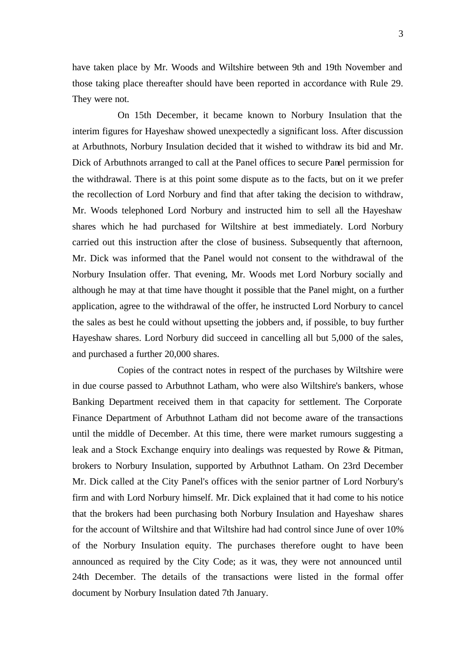have taken place by Mr. Woods and Wiltshire between 9th and 19th November and those taking place thereafter should have been reported in accordance with Rule 29. They were not.

On 15th December, it became known to Norbury Insulation that the interim figures for Hayeshaw showed unexpectedly a significant loss. After discussion at Arbuthnots, Norbury Insulation decided that it wished to withdraw its bid and Mr. Dick of Arbuthnots arranged to call at the Panel offices to secure Panel permission for the withdrawal. There is at this point some dispute as to the facts, but on it we prefer the recollection of Lord Norbury and find that after taking the decision to withdraw, Mr. Woods telephoned Lord Norbury and instructed him to sell all the Hayeshaw shares which he had purchased for Wiltshire at best immediately. Lord Norbury carried out this instruction after the close of business. Subsequently that afternoon, Mr. Dick was informed that the Panel would not consent to the withdrawal of the Norbury Insulation offer. That evening, Mr. Woods met Lord Norbury socially and although he may at that time have thought it possible that the Panel might, on a further application, agree to the withdrawal of the offer, he instructed Lord Norbury to cancel the sales as best he could without upsetting the jobbers and, if possible, to buy further Hayeshaw shares. Lord Norbury did succeed in cancelling all but 5,000 of the sales, and purchased a further 20,000 shares.

Copies of the contract notes in respect of the purchases by Wiltshire were in due course passed to Arbuthnot Latham, who were also Wiltshire's bankers, whose Banking Department received them in that capacity for settlement. The Corporate Finance Department of Arbuthnot Latham did not become aware of the transactions until the middle of December. At this time, there were market rumours suggesting a leak and a Stock Exchange enquiry into dealings was requested by Rowe & Pitman, brokers to Norbury Insulation, supported by Arbuthnot Latham. On 23rd December Mr. Dick called at the City Panel's offices with the senior partner of Lord Norbury's firm and with Lord Norbury himself. Mr. Dick explained that it had come to his notice that the brokers had been purchasing both Norbury Insulation and Hayeshaw shares for the account of Wiltshire and that Wiltshire had had control since June of over 10% of the Norbury Insulation equity. The purchases therefore ought to have been announced as required by the City Code; as it was, they were not announced until 24th December. The details of the transactions were listed in the formal offer document by Norbury Insulation dated 7th January.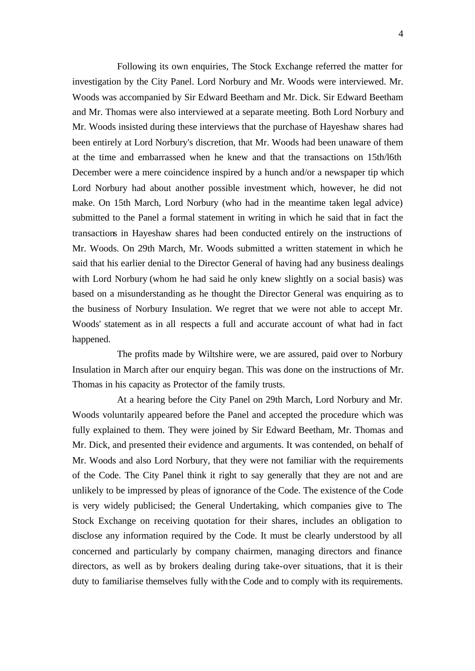Following its own enquiries, The Stock Exchange referred the matter for investigation by the City Panel. Lord Norbury and Mr. Woods were interviewed. Mr. Woods was accompanied by Sir Edward Beetham and Mr. Dick. Sir Edward Beetham and Mr. Thomas were also interviewed at a separate meeting. Both Lord Norbury and Mr. Woods insisted during these interviews that the purchase of Hayeshaw shares had been entirely at Lord Norbury's discretion, that Mr. Woods had been unaware of them at the time and embarrassed when he knew and that the transactions on 15th/l6th December were a mere coincidence inspired by a hunch and/or a newspaper tip which Lord Norbury had about another possible investment which, however, he did not make. On 15th March, Lord Norbury (who had in the meantime taken legal advice) submitted to the Panel a formal statement in writing in which he said that in fact the transactions in Hayeshaw shares had been conducted entirely on the instructions of Mr. Woods. On 29th March, Mr. Woods submitted a written statement in which he said that his earlier denial to the Director General of having had any business dealings with Lord Norbury (whom he had said he only knew slightly on a social basis) was based on a misunderstanding as he thought the Director General was enquiring as to the business of Norbury Insulation. We regret that we were not able to accept Mr. Woods' statement as in all respects a full and accurate account of what had in fact happened.

The profits made by Wiltshire were, we are assured, paid over to Norbury Insulation in March after our enquiry began. This was done on the instructions of Mr. Thomas in his capacity as Protector of the family trusts.

At a hearing before the City Panel on 29th March, Lord Norbury and Mr. Woods voluntarily appeared before the Panel and accepted the procedure which was fully explained to them. They were joined by Sir Edward Beetham, Mr. Thomas and Mr. Dick, and presented their evidence and arguments. It was contended, on behalf of Mr. Woods and also Lord Norbury, that they were not familiar with the requirements of the Code. The City Panel think it right to say generally that they are not and are unlikely to be impressed by pleas of ignorance of the Code. The existence of the Code is very widely publicised; the General Undertaking, which companies give to The Stock Exchange on receiving quotation for their shares, includes an obligation to disclose any information required by the Code. It must be clearly understood by all concerned and particularly by company chairmen, managing directors and finance directors, as well as by brokers dealing during take-over situations, that it is their duty to familiarise themselves fully with the Code and to comply with its requirements.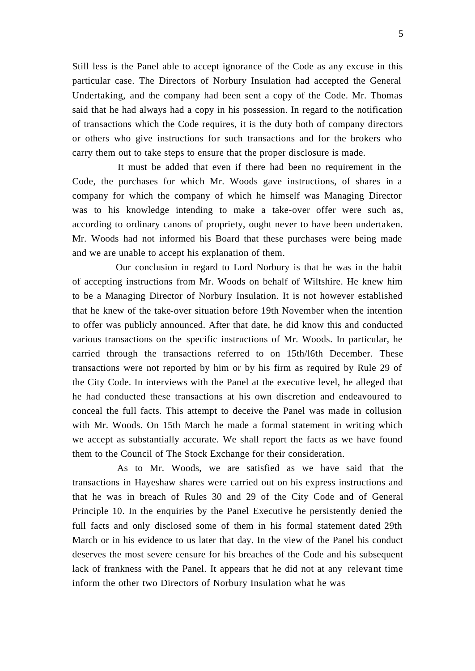Still less is the Panel able to accept ignorance of the Code as any excuse in this particular case. The Directors of Norbury Insulation had accepted the General Undertaking, and the company had been sent a copy of the Code. Mr. Thomas said that he had always had a copy in his possession. In regard to the notification of transactions which the Code requires, it is the duty both of company directors or others who give instructions for such transactions and for the brokers who carry them out to take steps to ensure that the proper disclosure is made.

It must be added that even if there had been no requirement in the Code, the purchases for which Mr. Woods gave instructions, of shares in a company for which the company of which he himself was Managing Director was to his knowledge intending to make a take-over offer were such as, according to ordinary canons of propriety, ought never to have been undertaken. Mr. Woods had not informed his Board that these purchases were being made and we are unable to accept his explanation of them.

Our conclusion in regard to Lord Norbury is that he was in the habit of accepting instructions from Mr. Woods on behalf of Wiltshire. He knew him to be a Managing Director of Norbury Insulation. It is not however established that he knew of the take-over situation before 19th November when the intention to offer was publicly announced. After that date, he did know this and conducted various transactions on the specific instructions of Mr. Woods. In particular, he carried through the transactions referred to on 15th/l6th December. These transactions were not reported by him or by his firm as required by Rule 29 of the City Code. In interviews with the Panel at the executive level, he alleged that he had conducted these transactions at his own discretion and endeavoured to conceal the full facts. This attempt to deceive the Panel was made in collusion with Mr. Woods. On 15th March he made a formal statement in writing which we accept as substantially accurate. We shall report the facts as we have found them to the Council of The Stock Exchange for their consideration.

As to Mr. Woods, we are satisfied as we have said that the transactions in Hayeshaw shares were carried out on his express instructions and that he was in breach of Rules 30 and 29 of the City Code and of General Principle 10. In the enquiries by the Panel Executive he persistently denied the full facts and only disclosed some of them in his formal statement dated 29th March or in his evidence to us later that day. In the view of the Panel his conduct deserves the most severe censure for his breaches of the Code and his subsequent lack of frankness with the Panel. It appears that he did not at any relevant time inform the other two Directors of Norbury Insulation what he was